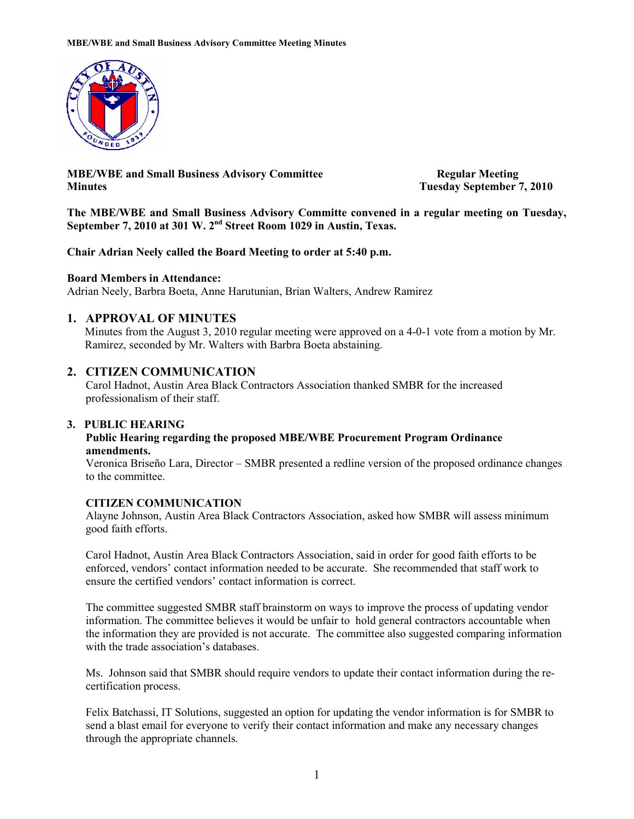

**MBE/WBE and Small Business Advisory Committee Regular Meeting Minutes Tuesday September 7, 2010** 

**The MBE/WBE and Small Business Advisory Committe convened in a regular meeting on Tuesday, September 7, 2010 at 301 W. 2nd Street Room 1029 in Austin, Texas.** 

**Chair Adrian Neely called the Board Meeting to order at 5:40 p.m.** 

#### **Board Members in Attendance:**

Adrian Neely, Barbra Boeta, Anne Harutunian, Brian Walters, Andrew Ramirez

#### **1. APPROVAL OF MINUTES**

Minutes from the August 3, 2010 regular meeting were approved on a 4-0-1 vote from a motion by Mr. Ramirez, seconded by Mr. Walters with Barbra Boeta abstaining.

#### **2. CITIZEN COMMUNICATION**

 Carol Hadnot, Austin Area Black Contractors Association thanked SMBR for the increased professionalism of their staff.

#### **3. PUBLIC HEARING**

#### **Public Hearing regarding the proposed MBE/WBE Procurement Program Ordinance amendments.**

Veronica Briseño Lara, Director – SMBR presented a redline version of the proposed ordinance changes to the committee.

#### **CITIZEN COMMUNICATION**

Alayne Johnson, Austin Area Black Contractors Association, asked how SMBR will assess minimum good faith efforts.

Carol Hadnot, Austin Area Black Contractors Association, said in order for good faith efforts to be enforced, vendors' contact information needed to be accurate. She recommended that staff work to ensure the certified vendors' contact information is correct.

The committee suggested SMBR staff brainstorm on ways to improve the process of updating vendor information. The committee believes it would be unfair to hold general contractors accountable when the information they are provided is not accurate. The committee also suggested comparing information with the trade association's databases.

Ms. Johnson said that SMBR should require vendors to update their contact information during the recertification process.

Felix Batchassi, IT Solutions, suggested an option for updating the vendor information is for SMBR to send a blast email for everyone to verify their contact information and make any necessary changes through the appropriate channels.